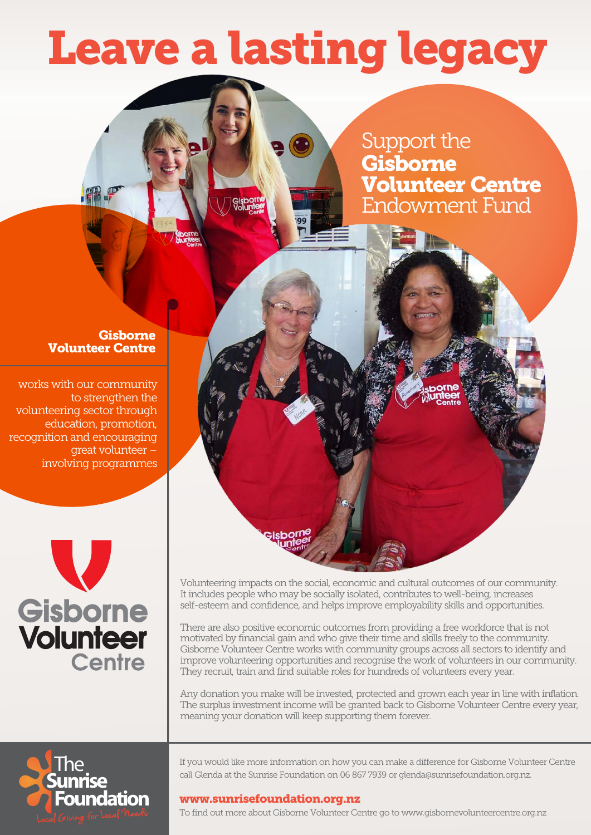## Leave a lasting legacy

Support the Gisborne Volunteer Centre Endowment Fund

#### Gisborne Volunteer Centre

works with our community to strengthen the volunteering sector through education, promotion, recognition and encouraging great volunteer – involving programmes

# Gisborne<br>Volunteer Centre

Volunteering impacts on the social, economic and cultural outcomes of our community. It includes people who may be socially isolated, contributes to well-being, increases self-esteem and confidence, and helps improve employability skills and opportunities.

There are also positive economic outcomes from providing a free workforce that is not motivated by financial gain and who give their time and skills freely to the community. Gisborne Volunteer Centre works with community groups across all sectors to identify and improve volunteering opportunities and recognise the work of volunteers in our community. They recruit, train and find suitable roles for hundreds of volunteers every year.

Any donation you make will be invested, protected and grown each year in line with inflation. The surplus investment income will be granted back to Gisborne Volunteer Centre every year, meaning your donation will keep supporting them forever.



If you would like more information on how you can make a difference for Gisborne Volunteer Centre call Glenda at the Sunrise Foundation on 06 867 7939 or glenda@sunrisefoundation.org.nz.

#### www.sunrisefoundation.org.nz

To find out more about Gisborne Volunteer Centre go to www.gisbornevolunteercentre.org.nz